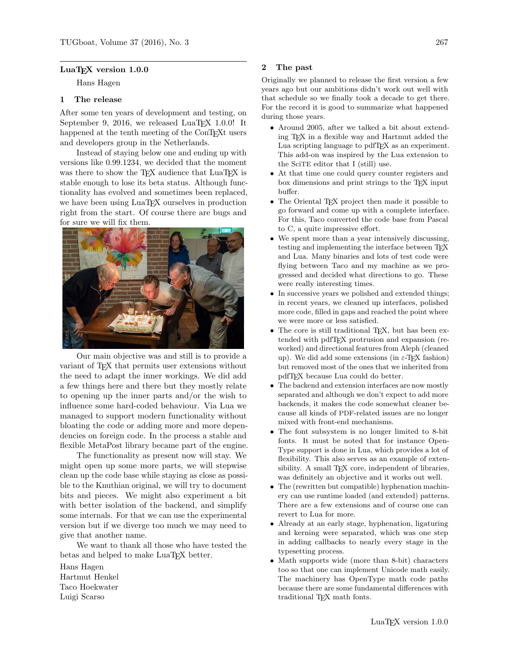## LuaT<sub>EX</sub> version 1.0.0

Hans Hagen

## 1 The release

After some ten years of development and testing, on September 9, 2016, we released LuaT<sub>EX</sub> 1.0.0! It happened at the tenth meeting of the ConTEXt users and developers group in the Netherlands.

Instead of staying below one and ending up with versions like 0.99.1234, we decided that the moment was there to show the T<sub>E</sub>X audience that LuaT<sub>E</sub>X is stable enough to lose its beta status. Although functionality has evolved and sometimes been replaced, we have been using LuaT<sub>EX</sub> ourselves in production right from the start. Of course there are bugs and for sure we will fix them.



Our main objective was and still is to provide a variant of TEX that permits user extensions without the need to adapt the inner workings. We did add a few things here and there but they mostly relate to opening up the inner parts and/or the wish to influence some hard-coded behaviour. Via Lua we managed to support modern functionality without bloating the code or adding more and more dependencies on foreign code. In the process a stable and flexible MetaPost library became part of the engine.

The functionality as present now will stay. We might open up some more parts, we will stepwise clean up the code base while staying as close as possible to the Knuthian original, we will try to document bits and pieces. We might also experiment a bit with better isolation of the backend, and simplify some internals. For that we can use the experimental version but if we diverge too much we may need to give that another name.

We want to thank all those who have tested the betas and helped to make LuaT<sub>F</sub>X better.

Hans Hagen Hartmut Henkel Taco Hoekwater Luigi Scarso

## 2 The past

Originally we planned to release the first version a few years ago but our ambitions didn't work out well with that schedule so we finally took a decade to get there. For the record it is good to summarize what happened during those years.

- Around 2005, after we talked a bit about extending TEX in a flexible way and Hartmut added the Lua scripting language to pdfTEX as an experiment. This add-on was inspired by the Lua extension to the SciTE editor that I (still) use.
- At that time one could query counter registers and box dimensions and print strings to the T<sub>E</sub>X input buffer.
- The Oriental TEX project then made it possible to go forward and come up with a complete interface. For this, Taco converted the code base from Pascal to C, a quite impressive effort.
- We spent more than a year intensively discussing, testing and implementing the interface between TEX and Lua. Many binaries and lots of test code were flying between Taco and my machine as we progressed and decided what directions to go. These were really interesting times.
- In successive years we polished and extended things; in recent years, we cleaned up interfaces, polished more code, filled in gaps and reached the point where we were more or less satisfied.
- The core is still traditional TEX, but has been extended with pdfTEX protrusion and expansion (reworked) and directional features from Aleph (cleaned up). We did add some extensions (in  $\varepsilon$ -T<sub>E</sub>X fashion) but removed most of the ones that we inherited from pdfTEX because Lua could do better.
- The backend and extension interfaces are now mostly separated and although we don't expect to add more backends, it makes the code somewhat cleaner because all kinds of PDF-related issues are no longer mixed with front-end mechanisms.
- The font subsystem is no longer limited to 8-bit fonts. It must be noted that for instance Open-Type support is done in Lua, which provides a lot of flexibility. This also serves as an example of extensibility. A small TEX core, independent of libraries, was definitely an objective and it works out well.
- The (rewritten but compatible) hyphenation machinery can use runtime loaded (and extended) patterns. There are a few extensions and of course one can revert to Lua for more.
- Already at an early stage, hyphenation, ligaturing and kerning were separated, which was one step in adding callbacks to nearly every stage in the typesetting process.
- Math supports wide (more than 8-bit) characters too so that one can implement Unicode math easily. The machinery has OpenType math code paths because there are some fundamental differences with traditional TEX math fonts.